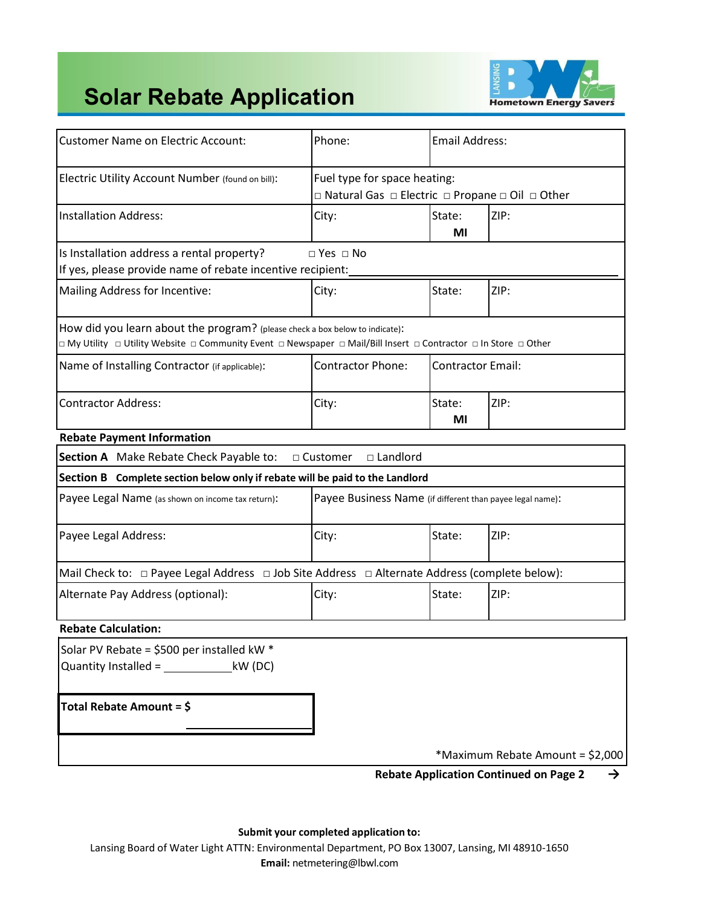

# **Solar Rebate Application**

| <b>Customer Name on Electric Account:</b>                                                                                                                                                      | Phone:                                                                           | <b>Email Address:</b>    |                                                                           |
|------------------------------------------------------------------------------------------------------------------------------------------------------------------------------------------------|----------------------------------------------------------------------------------|--------------------------|---------------------------------------------------------------------------|
| Electric Utility Account Number (found on bill):                                                                                                                                               | Fuel type for space heating:<br>□ Natural Gas □ Electric □ Propane □ Oil □ Other |                          |                                                                           |
| <b>Installation Address:</b>                                                                                                                                                                   | City:                                                                            | State:<br>ΜI             | ZIP:                                                                      |
| Is Installation address a rental property?<br>If yes, please provide name of rebate incentive recipient:                                                                                       | $\Box$ Yes $\Box$ No                                                             |                          |                                                                           |
| Mailing Address for Incentive:                                                                                                                                                                 | City:                                                                            | State:                   | ZIP:                                                                      |
| How did you learn about the program? (please check a box below to indicate):<br>D My Utility Dutility Website D Community Event D Newspaper D Mail/Bill Insert D Contractor D In Store D Other |                                                                                  |                          |                                                                           |
| Name of Installing Contractor (if applicable):                                                                                                                                                 | <b>Contractor Phone:</b>                                                         | <b>Contractor Email:</b> |                                                                           |
| <b>Contractor Address:</b>                                                                                                                                                                     | City:                                                                            | State:<br>ΜI             | ZIP:                                                                      |
| <b>Rebate Payment Information</b>                                                                                                                                                              |                                                                                  |                          |                                                                           |
| Section A Make Rebate Check Payable to:                                                                                                                                                        | □ Customer<br>$\square$ Landlord                                                 |                          |                                                                           |
| Section B Complete section below only if rebate will be paid to the Landlord                                                                                                                   |                                                                                  |                          |                                                                           |
| Payee Legal Name (as shown on income tax return):                                                                                                                                              | Payee Business Name (if different than payee legal name):                        |                          |                                                                           |
| Payee Legal Address:                                                                                                                                                                           | City:                                                                            | State:                   | ZIP:                                                                      |
| Mail Check to: $\Box$ Payee Legal Address $\Box$ Job Site Address $\Box$ Alternate Address (complete below):                                                                                   |                                                                                  |                          |                                                                           |
| Alternate Pay Address (optional):                                                                                                                                                              | City:                                                                            | State:                   | ZIP:                                                                      |
| <b>Rebate Calculation:</b>                                                                                                                                                                     |                                                                                  |                          |                                                                           |
| Solar PV Rebate = \$500 per installed kW *<br>Quantity Installed = $\_\_\_\_\_\_\_$ kW (DC)                                                                                                    |                                                                                  |                          |                                                                           |
| Total Rebate Amount = \$                                                                                                                                                                       |                                                                                  |                          |                                                                           |
|                                                                                                                                                                                                |                                                                                  |                          | *Maximum Rebate Amount = \$2,000<br>Bahata Anulisation Continued on Board |

**Rebate Application Continued on Page 2 →**